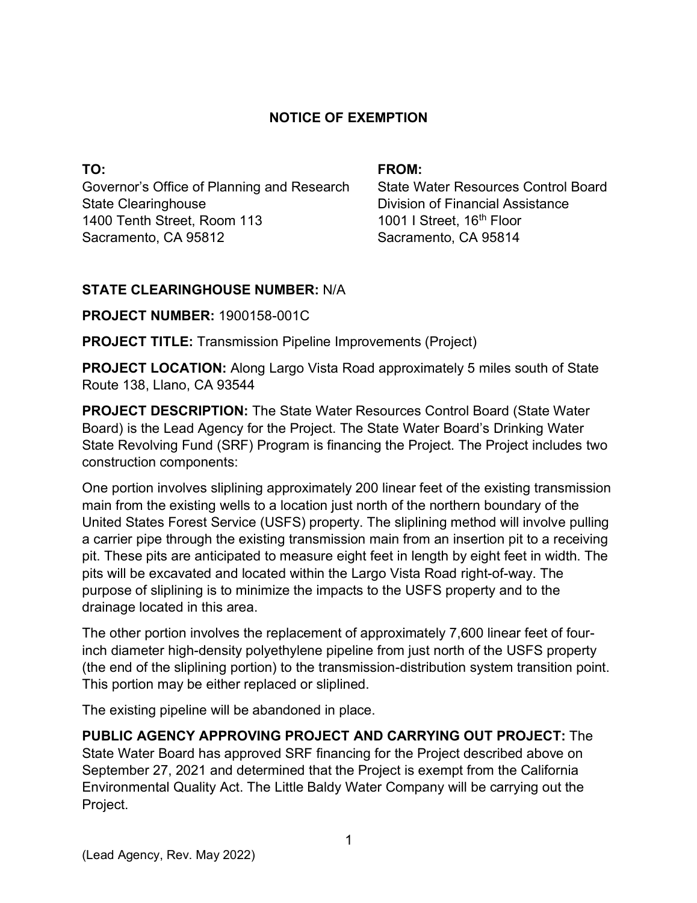## **NOTICE OF EXEMPTION**

**TO:**  Governor's Office of Planning and Research State Clearinghouse 1400 Tenth Street, Room 113 Sacramento, CA 95812

#### **FROM:**

State Water Resources Control Board Division of Financial Assistance 1001 I Street, 16<sup>th</sup> Floor Sacramento, CA 95814

### **STATE CLEARINGHOUSE NUMBER:** N/A

**PROJECT NUMBER:** 1900158-001C

**PROJECT TITLE:** Transmission Pipeline Improvements (Project)

**PROJECT LOCATION:** Along Largo Vista Road approximately 5 miles south of State Route 138, Llano, CA 93544

**PROJECT DESCRIPTION:** The State Water Resources Control Board (State Water Board) is the Lead Agency for the Project. The State Water Board's Drinking Water State Revolving Fund (SRF) Program is financing the Project. The Project includes two construction components:

One portion involves sliplining approximately 200 linear feet of the existing transmission main from the existing wells to a location just north of the northern boundary of the United States Forest Service (USFS) property. The sliplining method will involve pulling a carrier pipe through the existing transmission main from an insertion pit to a receiving pit. These pits are anticipated to measure eight feet in length by eight feet in width. The pits will be excavated and located within the Largo Vista Road right-of-way. The purpose of sliplining is to minimize the impacts to the USFS property and to the drainage located in this area.

The other portion involves the replacement of approximately 7,600 linear feet of fourinch diameter high-density polyethylene pipeline from just north of the USFS property (the end of the sliplining portion) to the transmission-distribution system transition point. This portion may be either replaced or sliplined.

The existing pipeline will be abandoned in place.

**PUBLIC AGENCY APPROVING PROJECT AND CARRYING OUT PROJECT:** The State Water Board has approved SRF financing for the Project described above on September 27, 2021 and determined that the Project is exempt from the California Environmental Quality Act. The Little Baldy Water Company will be carrying out the Project.